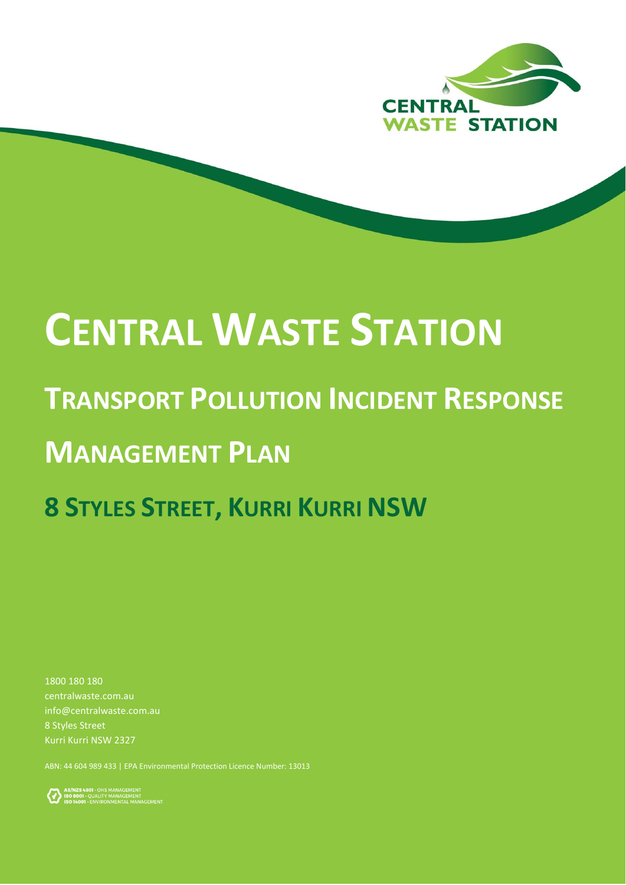

# **CENTRAL WASTE STATION**

### **TRANSPORT POLLUTION INCIDENT RESPONSE**

## **MANAGEMENT PLAN**

## **8 STYLES STREET, KURRI KURRI NSW**

1800 180 180 centralwaste.com.au info@centralwaste.com.au 8 Styles Street Kurri Kurri NSW 2327

ABN: 44 604 989 433 | EPA Environmental Protection Licence Number: 13013

AS/NZS4801 - OHS MANAGEMENT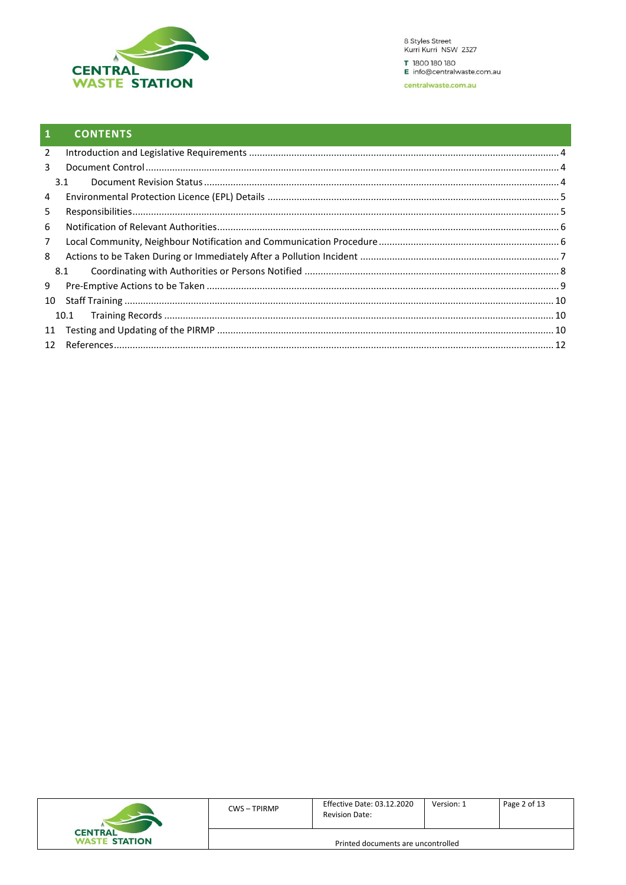

#### $\mathbf{1}$ **CONTENTS**

| 2              |      |  |
|----------------|------|--|
| 3              |      |  |
|                | 3.1  |  |
| 4              |      |  |
| 5              |      |  |
| 6              |      |  |
| $\overline{7}$ |      |  |
| 8              |      |  |
|                | 8.1  |  |
| 9              |      |  |
| 10             |      |  |
|                | 10.1 |  |
| 11             |      |  |
|                |      |  |

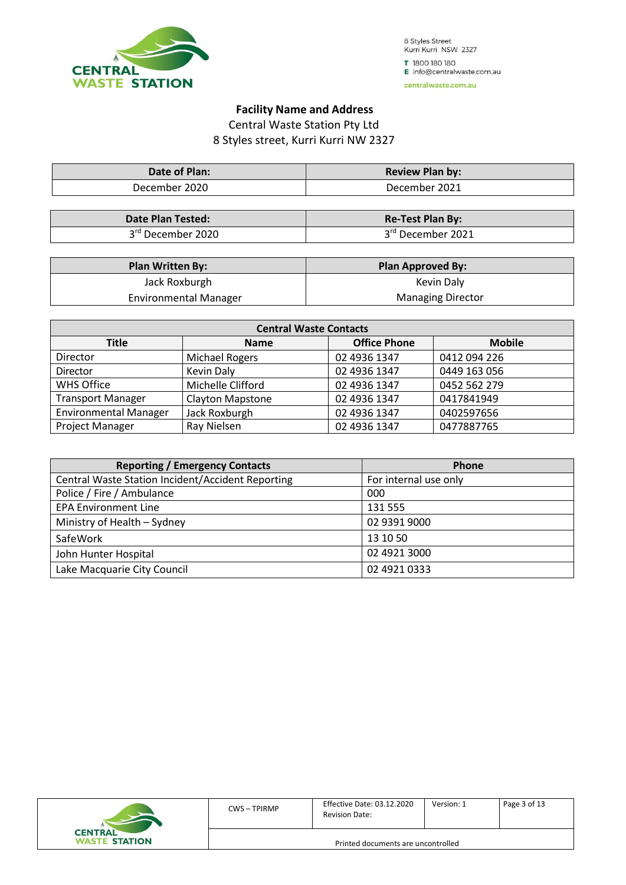

#### **Facility Name and Address**

Central Waste Station Pty Ltd 8 Styles street, Kurri Kurri NW 2327

| Date of Plan: | <b>Review Plan by:</b> |  |
|---------------|------------------------|--|
| December 2020 | December 2021          |  |

| <b>Date Plan Tested:</b> | <b>Re-Test Plan By:</b> |
|--------------------------|-------------------------|
| 3rd December 2020        | 3rd December 2021       |

| <b>Plan Written By:</b>      | <b>Plan Approved By:</b> |
|------------------------------|--------------------------|
| Jack Roxburgh                | Kevin Daly               |
| <b>Environmental Manager</b> | <b>Managing Director</b> |

| <b>Central Waste Contacts</b> |                         |                     |               |  |  |
|-------------------------------|-------------------------|---------------------|---------------|--|--|
| Title                         | <b>Name</b>             | <b>Office Phone</b> | <b>Mobile</b> |  |  |
| Director                      | Michael Rogers          | 02 4936 1347        | 0412 094 226  |  |  |
| Director                      | Kevin Daly              | 02 4936 1347        | 0449 163 056  |  |  |
| <b>WHS Office</b>             | Michelle Clifford       | 02 4936 1347        | 0452 562 279  |  |  |
| <b>Transport Manager</b>      | <b>Clayton Mapstone</b> | 02 4936 1347        | 0417841949    |  |  |
| <b>Environmental Manager</b>  | Jack Roxburgh           | 02 4936 1347        | 0402597656    |  |  |
| Project Manager               | Ray Nielsen             | 02 4936 1347        | 0477887765    |  |  |

| <b>Reporting / Emergency Contacts</b>                    | <b>Phone</b>          |
|----------------------------------------------------------|-----------------------|
| <b>Central Waste Station Incident/Accident Reporting</b> | For internal use only |
| Police / Fire / Ambulance                                | 000                   |
| <b>EPA Environment Line</b>                              | 131 555               |
| Ministry of Health - Sydney                              | 02 9391 9000          |
| SafeWork                                                 | 13 10 50              |
| John Hunter Hospital                                     | 02 4921 3000          |
| Lake Macquarie City Council                              | 02 4921 0333          |

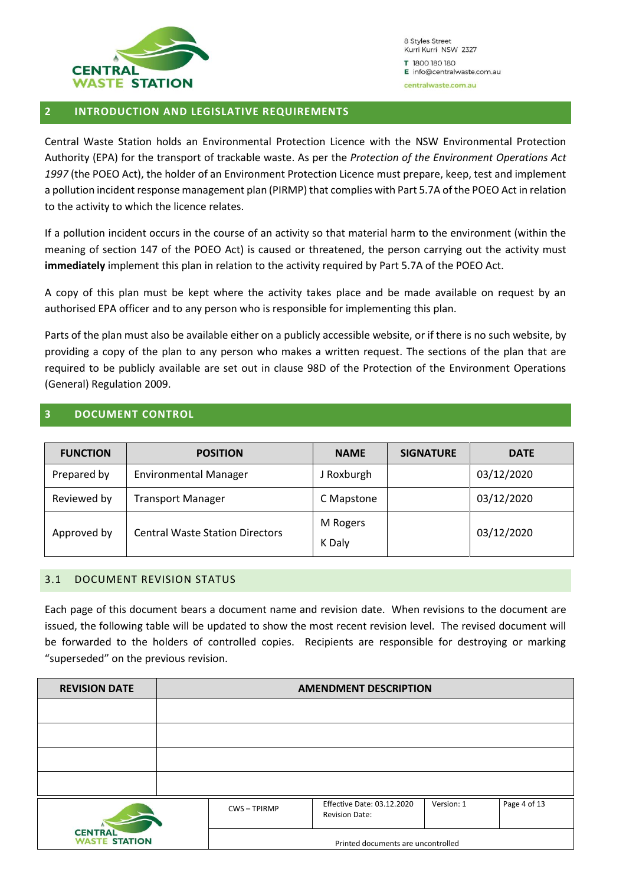

#### <span id="page-3-0"></span>**2 INTRODUCTION AND LEGISLATIVE REQUIREMENTS**

Central Waste Station holds an Environmental Protection Licence with the NSW Environmental Protection Authority (EPA) for the transport of trackable waste. As per the *Protection of the Environment Operations Act 1997* (the POEO Act), the holder of an Environment Protection Licence must prepare, keep, test and implement a pollution incident response management plan (PIRMP) that complies with Part 5.7A of the POEO Act in relation to the activity to which the licence relates.

If a pollution incident occurs in the course of an activity so that material harm to the environment (within the meaning of section 147 of the POEO Act) is caused or threatened, the person carrying out the activity must **immediately** implement this plan in relation to the activity required by Part 5.7A of the POEO Act.

A copy of this plan must be kept where the activity takes place and be made available on request by an authorised EPA officer and to any person who is responsible for implementing this plan.

Parts of the plan must also be available either on a publicly accessible website, or if there is no such website, by providing a copy of the plan to any person who makes a written request. The sections of the plan that are required to be publicly available are set out in clause 98D of the Protection of the Environment Operations (General) Regulation 2009.

#### <span id="page-3-1"></span>**3 DOCUMENT CONTROL**

| <b>FUNCTION</b> | <b>POSITION</b>                        | <b>NAME</b>        | <b>SIGNATURE</b> | <b>DATE</b> |
|-----------------|----------------------------------------|--------------------|------------------|-------------|
| Prepared by     | <b>Environmental Manager</b>           | J Roxburgh         |                  | 03/12/2020  |
| Reviewed by     | <b>Transport Manager</b>               | C Mapstone         |                  | 03/12/2020  |
| Approved by     | <b>Central Waste Station Directors</b> | M Rogers<br>K Daly |                  | 03/12/2020  |

#### <span id="page-3-2"></span>3.1 DOCUMENT REVISION STATUS

Each page of this document bears a document name and revision date. When revisions to the document are issued, the following table will be updated to show the most recent revision level. The revised document will be forwarded to the holders of controlled copies. Recipients are responsible for destroying or marking "superseded" on the previous revision.

| <b>REVISION DATE</b>                   | <b>AMENDMENT DESCRIPTION</b> |                   |                                                     |            |              |
|----------------------------------------|------------------------------|-------------------|-----------------------------------------------------|------------|--------------|
|                                        |                              |                   |                                                     |            |              |
|                                        |                              |                   |                                                     |            |              |
|                                        |                              |                   |                                                     |            |              |
|                                        |                              |                   |                                                     |            |              |
|                                        |                              | <b>CWS-TPIRMP</b> | Effective Date: 03.12.2020<br><b>Revision Date:</b> | Version: 1 | Page 4 of 13 |
| <b>CENTRAL</b><br><b>WASTE STATION</b> |                              |                   | Printed documents are uncontrolled                  |            |              |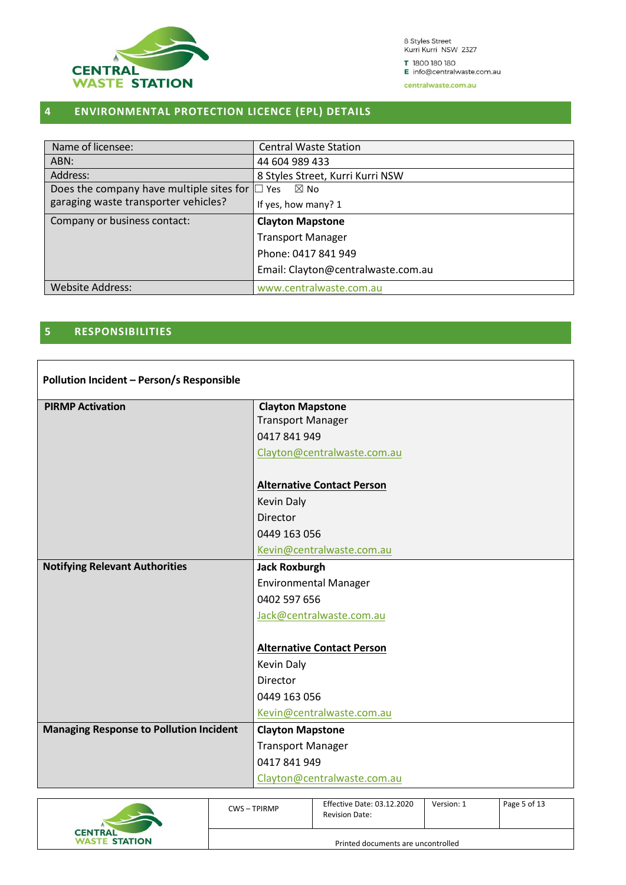

8 Styles Street<br>Kurri Kurri NSW 2327 T 1800 180 180

E info@centralwaste.com.au

centralwaste.com.au

### <span id="page-4-0"></span>**4 ENVIRONMENTAL PROTECTION LICENCE (EPL) DETAILS**

| Name of licensee:                               | <b>Central Waste Station</b>       |  |
|-------------------------------------------------|------------------------------------|--|
| ABN:                                            | 44 604 989 433                     |  |
| Address:                                        | 8 Styles Street, Kurri Kurri NSW   |  |
| Does the company have multiple sites for $\Box$ | $\boxtimes$ No<br>Yes              |  |
| garaging waste transporter vehicles?            | If yes, how many? 1                |  |
| Company or business contact:                    | <b>Clayton Mapstone</b>            |  |
|                                                 | <b>Transport Manager</b>           |  |
|                                                 | Phone: 0417 841 949                |  |
|                                                 | Email: Clayton@centralwaste.com.au |  |
| <b>Website Address:</b>                         | www.centralwaste.com.au            |  |

#### <span id="page-4-1"></span>**5 RESPONSIBILITIES**

| Pollution Incident - Person/s Responsible      |                                   |  |  |
|------------------------------------------------|-----------------------------------|--|--|
| <b>PIRMP Activation</b>                        | <b>Clayton Mapstone</b>           |  |  |
|                                                | <b>Transport Manager</b>          |  |  |
|                                                | 0417841949                        |  |  |
|                                                | Clayton@centralwaste.com.au       |  |  |
|                                                | <b>Alternative Contact Person</b> |  |  |
|                                                | <b>Kevin Daly</b>                 |  |  |
|                                                | Director                          |  |  |
|                                                | 0449 163 056                      |  |  |
|                                                | Kevin@centralwaste.com.au         |  |  |
| <b>Notifying Relevant Authorities</b>          | <b>Jack Roxburgh</b>              |  |  |
|                                                | <b>Environmental Manager</b>      |  |  |
|                                                | 0402 597 656                      |  |  |
|                                                | Jack@centralwaste.com.au          |  |  |
|                                                |                                   |  |  |
|                                                | <b>Alternative Contact Person</b> |  |  |
|                                                | <b>Kevin Daly</b>                 |  |  |
|                                                | <b>Director</b>                   |  |  |
|                                                | 0449 163 056                      |  |  |
|                                                | Kevin@centralwaste.com.au         |  |  |
| <b>Managing Response to Pollution Incident</b> | <b>Clayton Mapstone</b>           |  |  |
|                                                | <b>Transport Manager</b>          |  |  |
|                                                | 0417841949                        |  |  |
|                                                | Clayton@centralwaste.com.au       |  |  |

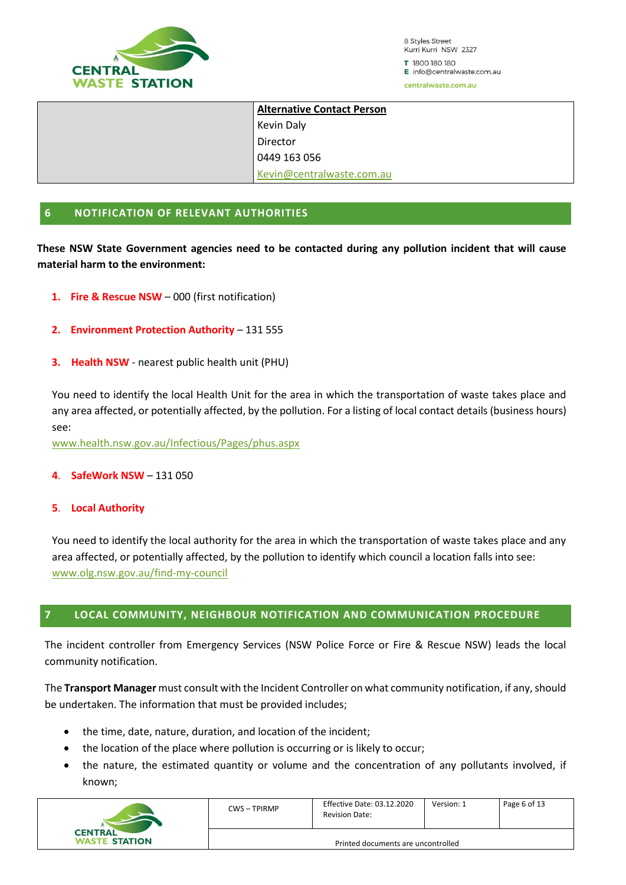

8 Styles Street Kurri Kurri NSW 2327 T 1800 180 180 E info@centralwaste.com.au

centralwaste.com.au

| <b>Alternative Contact Person</b> |  |  |  |
|-----------------------------------|--|--|--|
| Kevin Daly                        |  |  |  |
| Director                          |  |  |  |
| 0449 163 056                      |  |  |  |
| Kevin@centralwaste.com.au         |  |  |  |

#### <span id="page-5-0"></span>**6 NOTIFICATION OF RELEVANT AUTHORITIES**

**These NSW State Government agencies need to be contacted during any pollution incident that will cause material harm to the environment:**

- **1. Fire & Rescue NSW** 000 (first notification)
- **2. Environment Protection Authority** 131 555
- **3. Health NSW** nearest public health unit (PHU)

You need to identify the local Health Unit for the area in which the transportation of waste takes place and any area affected, or potentially affected, by the pollution. For a listing of local contact details (business hours) see:

[www.health.nsw.gov.au/Infectious/Pages/phus.aspx](http://www.health.nsw.gov.au/Infectious/Pages/phus.aspx)

**4**. **SafeWork NSW** – 131 050

#### **5**. **Local Authority**

You need to identify the local authority for the area in which the transportation of waste takes place and any area affected, or potentially affected, by the pollution to identify which council a location falls into see: [www.olg.nsw.gov.au/find-my-council](http://www.olg.nsw.gov.au/find-my-council)

#### <span id="page-5-1"></span>**7 LOCAL COMMUNITY, NEIGHBOUR NOTIFICATION AND COMMUNICATION PROCEDURE**

The incident controller from Emergency Services (NSW Police Force or Fire & Rescue NSW) leads the local community notification.

The **Transport Manager** must consult with the Incident Controller on what community notification, if any, should be undertaken. The information that must be provided includes;

- the time, date, nature, duration, and location of the incident;
- the location of the place where pollution is occurring or is likely to occur;
- the nature, the estimated quantity or volume and the concentration of any pollutants involved, if known;

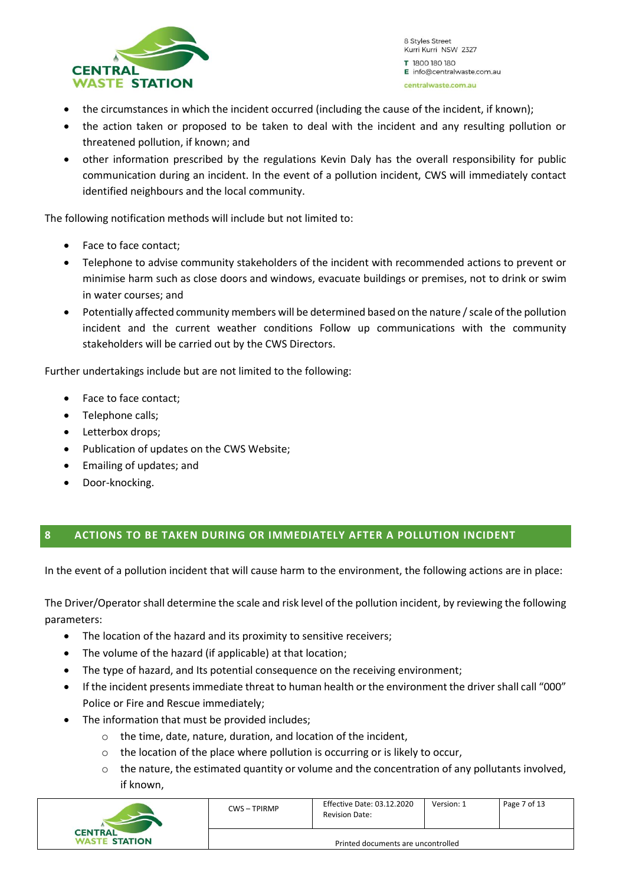

- the circumstances in which the incident occurred (including the cause of the incident, if known);
- the action taken or proposed to be taken to deal with the incident and any resulting pollution or threatened pollution, if known; and
- other information prescribed by the regulations Kevin Daly has the overall responsibility for public communication during an incident. In the event of a pollution incident, CWS will immediately contact identified neighbours and the local community.

The following notification methods will include but not limited to:

- Face to face contact;
- Telephone to advise community stakeholders of the incident with recommended actions to prevent or minimise harm such as close doors and windows, evacuate buildings or premises, not to drink or swim in water courses; and
- Potentially affected community members will be determined based on the nature / scale of the pollution incident and the current weather conditions Follow up communications with the community stakeholders will be carried out by the CWS Directors.

Further undertakings include but are not limited to the following:

- Face to face contact;
- Telephone calls;
- Letterbox drops;
- Publication of updates on the CWS Website;
- Emailing of updates; and
- Door-knocking.

#### <span id="page-6-0"></span>**8 ACTIONS TO BE TAKEN DURING OR IMMEDIATELY AFTER A POLLUTION INCIDENT**

In the event of a pollution incident that will cause harm to the environment, the following actions are in place:

The Driver/Operator shall determine the scale and risk level of the pollution incident, by reviewing the following parameters:

- The location of the hazard and its proximity to sensitive receivers;
- The volume of the hazard (if applicable) at that location;
- The type of hazard, and Its potential consequence on the receiving environment;
- If the incident presents immediate threat to human health or the environment the driver shall call "000" Police or Fire and Rescue immediately;
- The information that must be provided includes:
	- o the time, date, nature, duration, and location of the incident,
	- o the location of the place where pollution is occurring or is likely to occur,
	- $\circ$  the nature, the estimated quantity or volume and the concentration of any pollutants involved, if known,

|                                        | CWS-TPIRMP                         | <b>Effective Date: 03.12.2020</b><br><b>Revision Date:</b> | Version: 1 | Page 7 of 13 |  |
|----------------------------------------|------------------------------------|------------------------------------------------------------|------------|--------------|--|
| <b>CENTRAL</b><br><b>WASTE STATION</b> | Printed documents are uncontrolled |                                                            |            |              |  |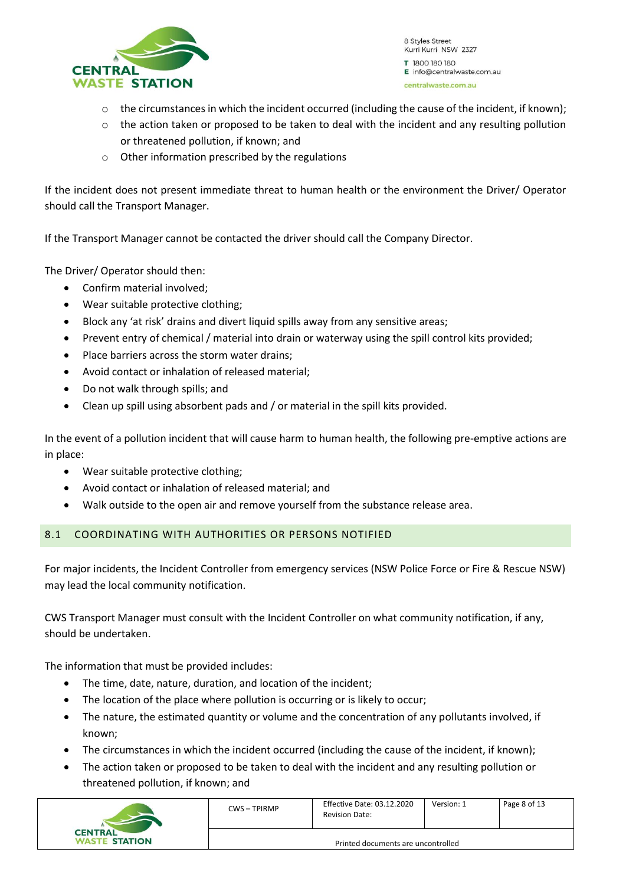

- $\circ$  the circumstances in which the incident occurred (including the cause of the incident, if known);
- $\circ$  the action taken or proposed to be taken to deal with the incident and any resulting pollution or threatened pollution, if known; and
- o Other information prescribed by the regulations

If the incident does not present immediate threat to human health or the environment the Driver/ Operator should call the Transport Manager.

If the Transport Manager cannot be contacted the driver should call the Company Director.

The Driver/ Operator should then:

- Confirm material involved;
- Wear suitable protective clothing;
- Block any 'at risk' drains and divert liquid spills away from any sensitive areas;
- Prevent entry of chemical / material into drain or waterway using the spill control kits provided;
- Place barriers across the storm water drains;
- Avoid contact or inhalation of released material;
- Do not walk through spills; and
- Clean up spill using absorbent pads and / or material in the spill kits provided.

In the event of a pollution incident that will cause harm to human health, the following pre-emptive actions are in place:

- Wear suitable protective clothing;
- Avoid contact or inhalation of released material; and
- <span id="page-7-0"></span>• Walk outside to the open air and remove yourself from the substance release area.

#### 8.1 COORDINATING WITH AUTHORITIES OR PERSONS NOTIFIED

For major incidents, the Incident Controller from emergency services (NSW Police Force or Fire & Rescue NSW) may lead the local community notification.

CWS Transport Manager must consult with the Incident Controller on what community notification, if any, should be undertaken.

The information that must be provided includes:

- The time, date, nature, duration, and location of the incident;
- The location of the place where pollution is occurring or is likely to occur;
- The nature, the estimated quantity or volume and the concentration of any pollutants involved, if known;
- The circumstances in which the incident occurred (including the cause of the incident, if known);
- The action taken or proposed to be taken to deal with the incident and any resulting pollution or threatened pollution, if known; and

| <b>CENTRAL</b><br><b>WASTE STATION</b> | <b>CWS-TPIRMP</b>                  | <b>Effective Date: 03.12.2020</b><br><b>Revision Date:</b> | Version: 1 | Page 8 of 13 |
|----------------------------------------|------------------------------------|------------------------------------------------------------|------------|--------------|
|                                        | Printed documents are uncontrolled |                                                            |            |              |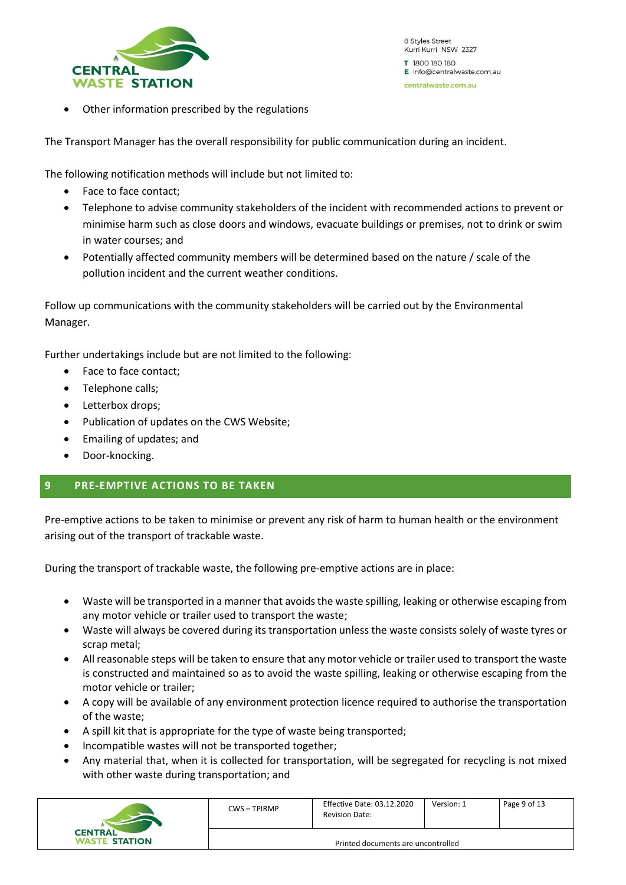

Other information prescribed by the regulations

The Transport Manager has the overall responsibility for public communication during an incident.

The following notification methods will include but not limited to:

- Face to face contact;
- Telephone to advise community stakeholders of the incident with recommended actions to prevent or minimise harm such as close doors and windows, evacuate buildings or premises, not to drink or swim in water courses; and
- Potentially affected community members will be determined based on the nature / scale of the pollution incident and the current weather conditions.

Follow up communications with the community stakeholders will be carried out by the Environmental Manager.

Further undertakings include but are not limited to the following:

- Face to face contact;
- Telephone calls:
- Letterbox drops;
- Publication of updates on the CWS Website;
- Emailing of updates; and
- <span id="page-8-0"></span>• Door-knocking.

#### **9 PRE-EMPTIVE ACTIONS TO BE TAKEN**

Pre-emptive actions to be taken to minimise or prevent any risk of harm to human health or the environment arising out of the transport of trackable waste.

During the transport of trackable waste, the following pre-emptive actions are in place:

- Waste will be transported in a manner that avoids the waste spilling, leaking or otherwise escaping from any motor vehicle or trailer used to transport the waste;
- Waste will always be covered during its transportation unless the waste consists solely of waste tyres or scrap metal;
- All reasonable steps will be taken to ensure that any motor vehicle or trailer used to transport the waste is constructed and maintained so as to avoid the waste spilling, leaking or otherwise escaping from the motor vehicle or trailer;
- A copy will be available of any environment protection licence required to authorise the transportation of the waste;
- A spill kit that is appropriate for the type of waste being transported;
- Incompatible wastes will not be transported together;
- Any material that, when it is collected for transportation, will be segregated for recycling is not mixed with other waste during transportation; and

| <b>CENTRAL</b><br><b>WASTE STATION</b> | CWS-TPIRMP                         | Effective Date: 03.12.2020<br><b>Revision Date:</b> | Version: 1 | Page 9 of 13 |
|----------------------------------------|------------------------------------|-----------------------------------------------------|------------|--------------|
|                                        | Printed documents are uncontrolled |                                                     |            |              |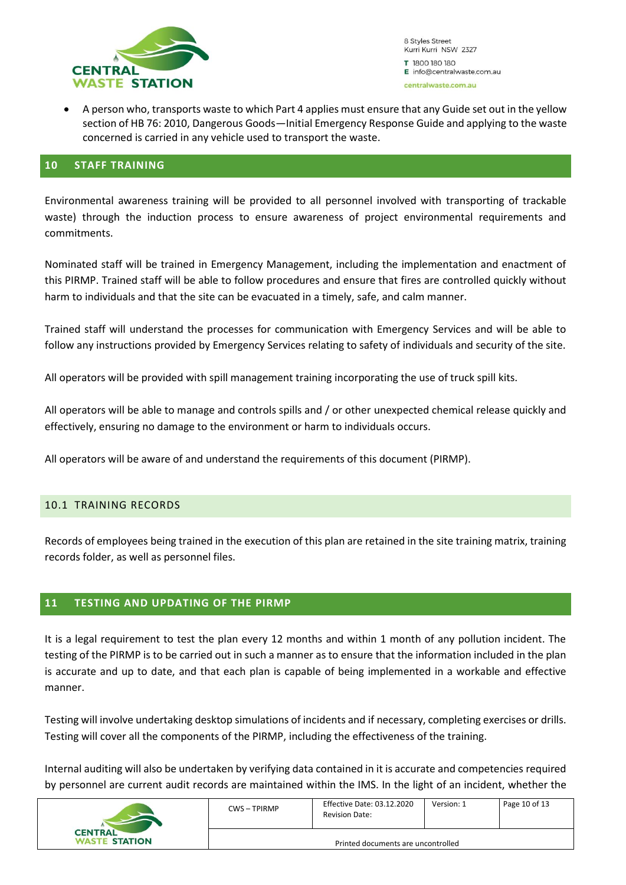

• A person who, transports waste to which Part 4 applies must ensure that any Guide set out in the yellow section of HB 76: 2010, Dangerous Goods—Initial Emergency Response Guide and applying to the waste concerned is carried in any vehicle used to transport the waste.

#### <span id="page-9-0"></span>**10 STAFF TRAINING**

Environmental awareness training will be provided to all personnel involved with transporting of trackable waste) through the induction process to ensure awareness of project environmental requirements and commitments.

Nominated staff will be trained in Emergency Management, including the implementation and enactment of this PIRMP. Trained staff will be able to follow procedures and ensure that fires are controlled quickly without harm to individuals and that the site can be evacuated in a timely, safe, and calm manner.

Trained staff will understand the processes for communication with Emergency Services and will be able to follow any instructions provided by Emergency Services relating to safety of individuals and security of the site.

All operators will be provided with spill management training incorporating the use of truck spill kits.

All operators will be able to manage and controls spills and / or other unexpected chemical release quickly and effectively, ensuring no damage to the environment or harm to individuals occurs.

All operators will be aware of and understand the requirements of this document (PIRMP).

#### <span id="page-9-1"></span>10.1 TRAINING RECORDS

Records of employees being trained in the execution of this plan are retained in the site training matrix, training records folder, as well as personnel files.

#### <span id="page-9-2"></span>**11 TESTING AND UPDATING OF THE PIRMP**

It is a legal requirement to test the plan every 12 months and within 1 month of any pollution incident. The testing of the PIRMP is to be carried out in such a manner as to ensure that the information included in the plan is accurate and up to date, and that each plan is capable of being implemented in a workable and effective manner.

Testing will involve undertaking desktop simulations of incidents and if necessary, completing exercises or drills. Testing will cover all the components of the PIRMP, including the effectiveness of the training.

Internal auditing will also be undertaken by verifying data contained in it is accurate and competencies required by personnel are current audit records are maintained within the IMS. In the light of an incident, whether the

| <b>CENTRAL</b><br><b>WASTE STATION</b> | CWS-TPIRMP                         | Effective Date: 03.12.2020<br><b>Revision Date:</b> | Version: 1 | Page 10 of 13 |
|----------------------------------------|------------------------------------|-----------------------------------------------------|------------|---------------|
|                                        | Printed documents are uncontrolled |                                                     |            |               |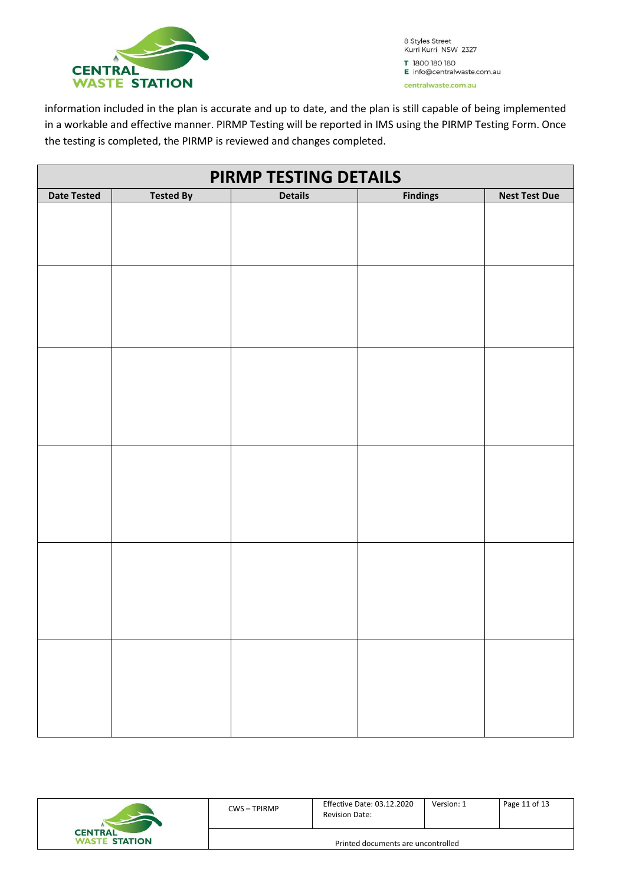

information included in the plan is accurate and up to date, and the plan is still capable of being implemented in a workable and effective manner. PIRMP Testing will be reported in IMS using the PIRMP Testing Form. Once the testing is completed, the PIRMP is reviewed and changes completed.

| PIRMP TESTING DETAILS |                  |                |                 |                      |
|-----------------------|------------------|----------------|-----------------|----------------------|
| <b>Date Tested</b>    | <b>Tested By</b> | <b>Details</b> | <b>Findings</b> | <b>Nest Test Due</b> |
|                       |                  |                |                 |                      |
|                       |                  |                |                 |                      |
|                       |                  |                |                 |                      |
|                       |                  |                |                 |                      |
|                       |                  |                |                 |                      |
|                       |                  |                |                 |                      |
|                       |                  |                |                 |                      |
|                       |                  |                |                 |                      |
|                       |                  |                |                 |                      |
|                       |                  |                |                 |                      |
|                       |                  |                |                 |                      |
|                       |                  |                |                 |                      |
|                       |                  |                |                 |                      |
|                       |                  |                |                 |                      |
|                       |                  |                |                 |                      |
|                       |                  |                |                 |                      |
|                       |                  |                |                 |                      |
|                       |                  |                |                 |                      |
|                       |                  |                |                 |                      |
|                       |                  |                |                 |                      |
|                       |                  |                |                 |                      |
|                       |                  |                |                 |                      |
|                       |                  |                |                 |                      |
|                       |                  |                |                 |                      |
|                       |                  |                |                 |                      |
|                       |                  |                |                 |                      |
|                       |                  |                |                 |                      |
|                       |                  |                |                 |                      |
|                       |                  |                |                 |                      |
|                       |                  |                |                 |                      |
|                       |                  |                |                 |                      |
|                       |                  |                |                 |                      |
|                       |                  |                |                 |                      |
|                       |                  |                |                 |                      |

| <b>CENTRAL</b><br><b>WASTE STATION</b> | <b>CWS-TPIRMP</b> | Effective Date: 03.12.2020<br><b>Revision Date:</b> |
|----------------------------------------|-------------------|-----------------------------------------------------|
|                                        |                   | Printed documents are                               |